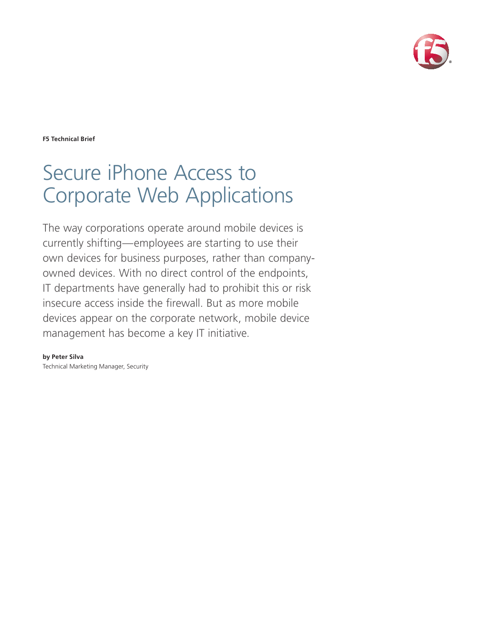

**F5 Technical Brief**

# Secure iPhone Access to Corporate Web Applications

The way corporations operate around mobile devices is currently shifting—employees are starting to use their own devices for business purposes, rather than companyowned devices. With no direct control of the endpoints, IT departments have generally had to prohibit this or risk insecure access inside the firewall. But as more mobile devices appear on the corporate network, mobile device management has become a key IT initiative.

**by Peter Silva** Technical Marketing Manager, Security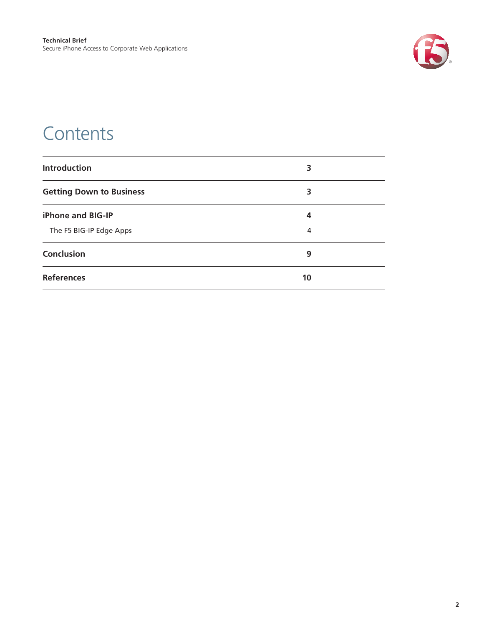

### **Contents**

| <b>Introduction</b>             | 3  |
|---------------------------------|----|
| <b>Getting Down to Business</b> | 3  |
| <b>iPhone and BIG-IP</b>        | 4  |
| The F5 BIG-IP Edge Apps         | 4  |
| Conclusion                      | 9  |
| <b>References</b>               | 10 |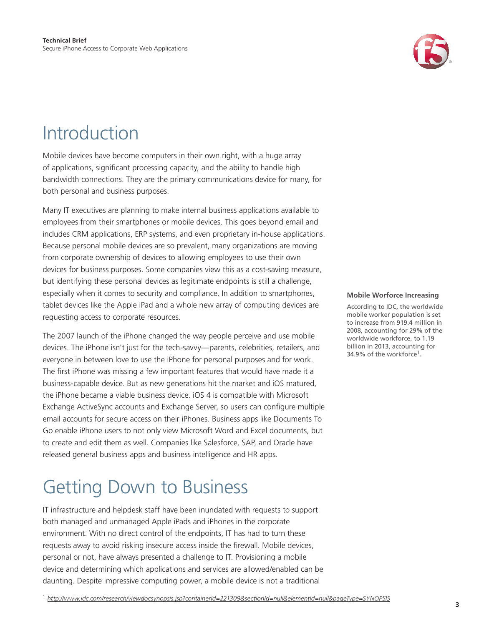

### <span id="page-2-0"></span>Introduction

Mobile devices have become computers in their own right, with a huge array of applications, significant processing capacity, and the ability to handle high bandwidth connections. They are the primary communications device for many, for both personal and business purposes.

Many IT executives are planning to make internal business applications available to employees from their smartphones or mobile devices. This goes beyond email and includes CRM applications, ERP systems, and even proprietary in-house applications. Because personal mobile devices are so prevalent, many organizations are moving from corporate ownership of devices to allowing employees to use their own devices for business purposes. Some companies view this as a cost-saving measure, but identifying these personal devices as legitimate endpoints is still a challenge, especially when it comes to security and compliance. In addition to smartphones, tablet devices like the Apple iPad and a whole new array of computing devices are requesting access to corporate resources.

The 2007 launch of the iPhone changed the way people perceive and use mobile devices. The iPhone isn't just for the tech-savvy—parents, celebrities, retailers, and everyone in between love to use the iPhone for personal purposes and for work. The first iPhone was missing a few important features that would have made it a business-capable device. But as new generations hit the market and iOS matured, the iPhone became a viable business device. iOS 4 is compatible with Microsoft Exchange ActiveSync accounts and Exchange Server, so users can configure multiple email accounts for secure access on their iPhones. Business apps like Documents To Go enable iPhone users to not only view Microsoft Word and Excel documents, but to create and edit them as well. Companies like Salesforce, SAP, and Oracle have released general business apps and business intelligence and HR apps.

## Getting Down to Business

IT infrastructure and helpdesk staff have been inundated with requests to support both managed and unmanaged Apple iPads and iPhones in the corporate environment. With no direct control of the endpoints, IT has had to turn these requests away to avoid risking insecure access inside the firewall. Mobile devices, personal or not, have always presented a challenge to IT. Provisioning a mobile device and determining which applications and services are allowed/enabled can be daunting. Despite impressive computing power, a mobile device is not a traditional

### **Mobile Worforce Increasing**

According to IDC, the worldwide mobile worker population is set to increase from 919.4 million in 2008, accounting for 29% of the worldwide workforce, to 1.19 billion in 2013, accounting for 34.9% of the workforce<sup>1</sup>.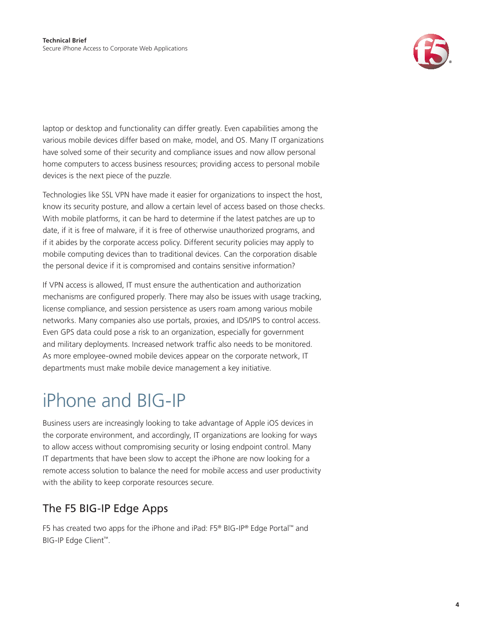

<span id="page-3-0"></span>laptop or desktop and functionality can differ greatly. Even capabilities among the various mobile devices differ based on make, model, and OS. Many IT organizations have solved some of their security and compliance issues and now allow personal home computers to access business resources; providing access to personal mobile devices is the next piece of the puzzle.

Technologies like SSL VPN have made it easier for organizations to inspect the host, know its security posture, and allow a certain level of access based on those checks. With mobile platforms, it can be hard to determine if the latest patches are up to date, if it is free of malware, if it is free of otherwise unauthorized programs, and if it abides by the corporate access policy. Different security policies may apply to mobile computing devices than to traditional devices. Can the corporation disable the personal device if it is compromised and contains sensitive information?

If VPN access is allowed, IT must ensure the authentication and authorization mechanisms are configured properly. There may also be issues with usage tracking, license compliance, and session persistence as users roam among various mobile networks. Many companies also use portals, proxies, and IDS/IPS to control access. Even GPS data could pose a risk to an organization, especially for government and military deployments. Increased network traffic also needs to be monitored. As more employee-owned mobile devices appear on the corporate network, IT departments must make mobile device management a key initiative.

# iPhone and BIG-IP

Business users are increasingly looking to take advantage of Apple iOS devices in the corporate environment, and accordingly, IT organizations are looking for ways to allow access without compromising security or losing endpoint control. Many IT departments that have been slow to accept the iPhone are now looking for a remote access solution to balance the need for mobile access and user productivity with the ability to keep corporate resources secure.

### The F5 BIG-IP Edge Apps

F5 has created two apps for the iPhone and iPad: F5® BIG-IP® Edge Portal™ and BIG-IP Edge Client™.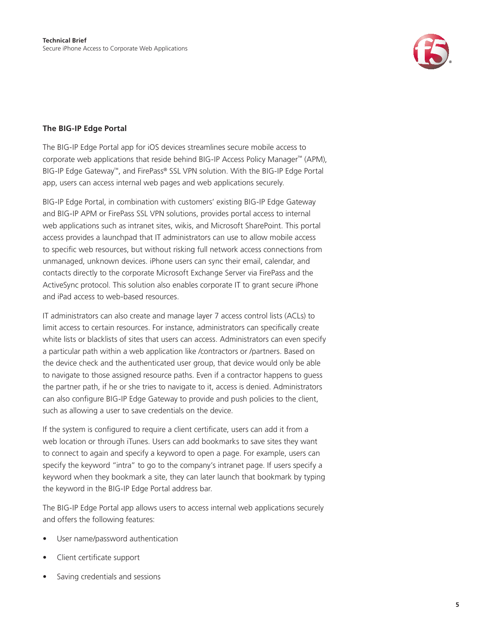

### **The BIG-IP Edge Portal**

The BIG-IP Edge Portal app for iOS devices streamlines secure mobile access to corporate web applications that reside behind BIG-IP Access Policy Manager™ (APM), BIG-IP Edge Gateway™, and FirePass® SSL VPN solution. With the BIG-IP Edge Portal app, users can access internal web pages and web applications securely.

BIG-IP Edge Portal, in combination with customers' existing BIG-IP Edge Gateway and BIG-IP APM or FirePass SSL VPN solutions, provides portal access to internal web applications such as intranet sites, wikis, and Microsoft SharePoint. This portal access provides a launchpad that IT administrators can use to allow mobile access to specific web resources, but without risking full network access connections from unmanaged, unknown devices. iPhone users can sync their email, calendar, and contacts directly to the corporate Microsoft Exchange Server via FirePass and the ActiveSync protocol. This solution also enables corporate IT to grant secure iPhone and iPad access to web-based resources.

IT administrators can also create and manage layer 7 access control lists (ACLs) to limit access to certain resources. For instance, administrators can specifically create white lists or blacklists of sites that users can access. Administrators can even specify a particular path within a web application like /contractors or /partners. Based on the device check and the authenticated user group, that device would only be able to navigate to those assigned resource paths. Even if a contractor happens to guess the partner path, if he or she tries to navigate to it, access is denied. Administrators can also configure BIG-IP Edge Gateway to provide and push policies to the client, such as allowing a user to save credentials on the device.

If the system is configured to require a client certificate, users can add it from a web location or through iTunes. Users can add bookmarks to save sites they want to connect to again and specify a keyword to open a page. For example, users can specify the keyword "intra" to go to the company's intranet page. If users specify a keyword when they bookmark a site, they can later launch that bookmark by typing the keyword in the BIG-IP Edge Portal address bar.

The BIG-IP Edge Portal app allows users to access internal web applications securely and offers the following features:

- User name/password authentication
- Client certificate support
- Saving credentials and sessions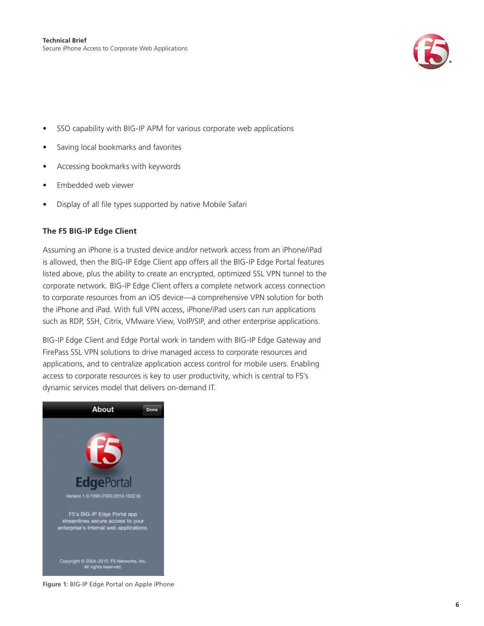

- SSO capability with BIG-IP APM for various corporate web applications
- Saving local bookmarks and favorites
- Accessing bookmarks with keywords
- Embedded web viewer
- Display of all file types supported by native Mobile Safari

### **The F5 BIG-IP Edge Client**

Assuming an iPhone is a trusted device and/or network access from an iPhone/iPad is allowed, then the BIG-IP Edge Client app offers all the BIG-IP Edge Portal features listed above, plus the ability to create an encrypted, optimized SSL VPN tunnel to the corporate network. BIG-IP Edge Client offers a complete network access connection to corporate resources from an iOS device—a comprehensive VPN solution for both the iPhone and iPad. With full VPN access, iPhone/iPad users can run applications such as RDP, SSH, Citrix, VMware View, VoIP/SIP, and other enterprise applications.

BIG-IP Edge Client and Edge Portal work in tandem with BIG-IP Edge Gateway and FirePass SSL VPN solutions to drive managed access to corporate resources and applications, and to centralize application access control for mobile users. Enabling access to corporate resources is key to user productivity, which is central to F5's dynamic services model that delivers on-demand IT.



**Figure 1**: BIG-IP Edge Portal on Apple iPhone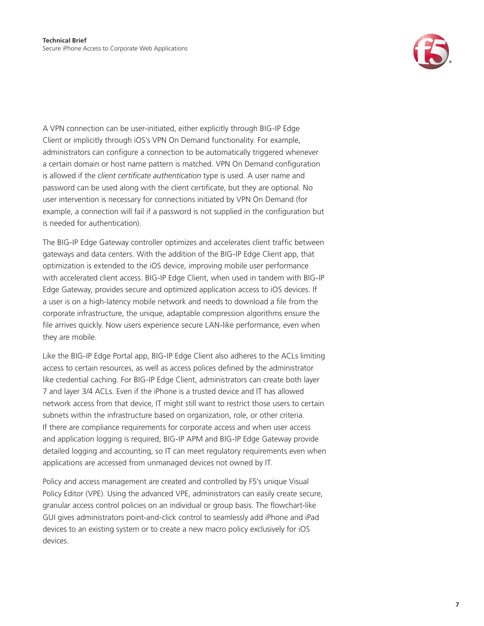

A VPN connection can be user-initiated, either explicitly through BIG-IP Edge Client or implicitly through iOS's VPN On Demand functionality. For example, administrators can configure a connection to be automatically triggered whenever a certain domain or host name pattern is matched. VPN On Demand configuration is allowed if the *client certificate authentication* type is used. A user name and password can be used along with the client certificate, but they are optional. No user intervention is necessary for connections initiated by VPN On Demand (for example, a connection will fail if a password is not supplied in the configuration but is needed for authentication).

The BIG-IP Edge Gateway controller optimizes and accelerates client traffic between gateways and data centers. With the addition of the BIG-IP Edge Client app, that optimization is extended to the iOS device, improving mobile user performance with accelerated client access. BIG-IP Edge Client, when used in tandem with BIG-IP Edge Gateway, provides secure and optimized application access to iOS devices. If a user is on a high-latency mobile network and needs to download a file from the corporate infrastructure, the unique, adaptable compression algorithms ensure the file arrives quickly. Now users experience secure LAN-like performance, even when they are mobile.

Like the BIG-IP Edge Portal app, BIG-IP Edge Client also adheres to the ACLs limiting access to certain resources, as well as access polices defined by the administrator like credential caching. For BIG-IP Edge Client, administrators can create both layer 7 and layer 3/4 ACLs. Even if the iPhone is a trusted device and IT has allowed network access from that device, IT might still want to restrict those users to certain subnets within the infrastructure based on organization, role, or other criteria. If there are compliance requirements for corporate access and when user access and application logging is required, BIG-IP APM and BIG-IP Edge Gateway provide detailed logging and accounting, so IT can meet regulatory requirements even when applications are accessed from unmanaged devices not owned by IT.

Policy and access management are created and controlled by F5's unique Visual Policy Editor (VPE). Using the advanced VPE, administrators can easily create secure, granular access control policies on an individual or group basis. The flowchart-like GUI gives administrators point-and-click control to seamlessly add iPhone and iPad devices to an existing system or to create a new macro policy exclusively for iOS devices.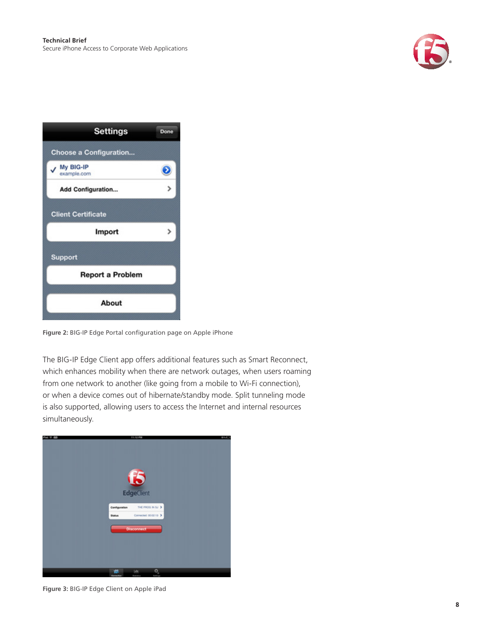

| <b>Settings</b>               | Done |  |
|-------------------------------|------|--|
| <b>Choose a Configuration</b> |      |  |
| My BIG-IP<br>example.com      |      |  |
| <b>Add Configuration</b>      |      |  |
| <b>Client Certificate</b>     |      |  |
| Import                        | ,    |  |
| Support                       |      |  |
| <b>Report a Problem</b>       |      |  |
| About                         |      |  |

**Figure 2:** BIG-IP Edge Portal configuration page on Apple iPhone

The BIG-IP Edge Client app offers additional features such as Smart Reconnect, which enhances mobility when there are network outages, when users roaming from one network to another (like going from a mobile to Wi-Fi connection), or when a device comes out of hibernate/standby mode. Split tunneling mode is also supported, allowing users to access the Internet and internal resources simultaneously.



**Figure 3:** BIG-IP Edge Client on Apple iPad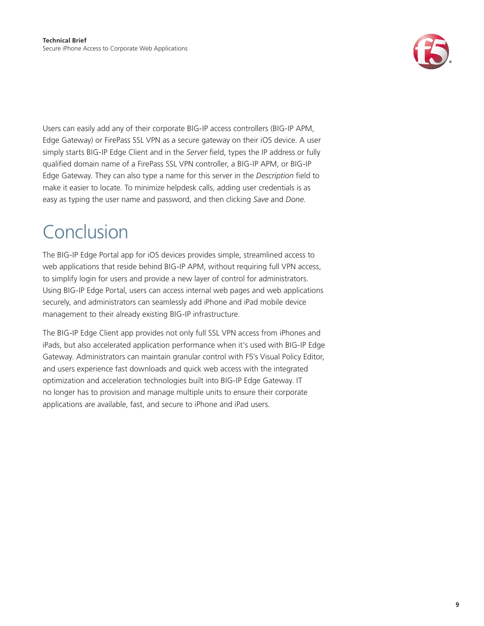

<span id="page-8-0"></span>Users can easily add any of their corporate BIG-IP access controllers (BIG-IP APM, Edge Gateway) or FirePass SSL VPN as a secure gateway on their iOS device. A user simply starts BIG-IP Edge Client and in the *Server* field, types the IP address or fully qualified domain name of a FirePass SSL VPN controller, a BIG-IP APM, or BIG-IP Edge Gateway. They can also type a name for this server in the *Description* field to make it easier to locate. To minimize helpdesk calls, adding user credentials is as easy as typing the user name and password, and then clicking *Save* and *Done*.

## Conclusion

The BIG-IP Edge Portal app for iOS devices provides simple, streamlined access to web applications that reside behind BIG-IP APM, without requiring full VPN access, to simplify login for users and provide a new layer of control for administrators. Using BIG-IP Edge Portal, users can access internal web pages and web applications securely, and administrators can seamlessly add iPhone and iPad mobile device management to their already existing BIG-IP infrastructure.

The BIG-IP Edge Client app provides not only full SSL VPN access from iPhones and iPads, but also accelerated application performance when it's used with BIG-IP Edge Gateway. Administrators can maintain granular control with F5's Visual Policy Editor, and users experience fast downloads and quick web access with the integrated optimization and acceleration technologies built into BIG-IP Edge Gateway. IT no longer has to provision and manage multiple units to ensure their corporate applications are available, fast, and secure to iPhone and iPad users.